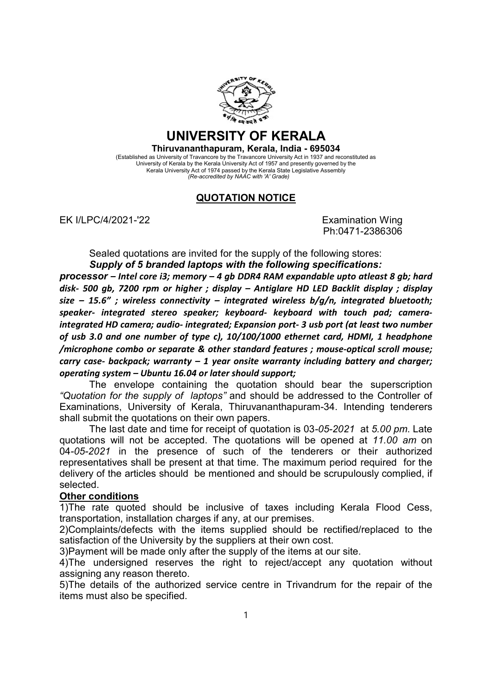

## UNIVERSITY OF KERALA

Thiruvananthapuram, Kerala, India - 695034

(Established as University of Travancore by the Travancore University Act in 1937 and reconstituted as University of Kerala by the Kerala University Act of 1957 and presently governed by the Kerala University Act of 1974 passed by the Kerala State Legislative Assembly (Re-accredited by NAAC with 'A' Grade)

## QUOTATION NOTICE

EK I/LPC/4/2021-'22 Examination Wing

Ph:0471-2386306

Sealed quotations are invited for the supply of the following stores: Supply of 5 branded laptops with the following specifications:

processor – Intel core i3; memory – 4 gb DDR4 RAM expandable upto atleast 8 gb; hard disk- 500 gb, 7200 rpm or higher ; display – Antiglare HD LED Backlit display ; display size – 15.6"; wireless connectivity – integrated wireless  $b/g/n$ , integrated bluetooth; speaker- integrated stereo speaker; keyboard- keyboard with touch pad; cameraintegrated HD camera; audio- integrated; Expansion port- 3 usb port (at least two number of usb 3.0 and one number of type c), 10/100/1000 ethernet card, HDMI, 1 headphone /microphone combo or separate & other standard features ; mouse-optical scroll mouse; carry case- backpack; warranty  $-1$  year onsite warranty including battery and charger; operating system – Ubuntu 16.04 or later should support;

The envelope containing the quotation should bear the superscription "Quotation for the supply of laptops" and should be addressed to the Controller of Examinations, University of Kerala, Thiruvananthapuram-34. Intending tenderers shall submit the quotations on their own papers.

The last date and time for receipt of quotation is 03-05-2021 at 5.00 pm. Late quotations will not be accepted. The quotations will be opened at 11.00 am on 04-05-2021 in the presence of such of the tenderers or their authorized representatives shall be present at that time. The maximum period required for the delivery of the articles should be mentioned and should be scrupulously complied, if selected.

## Other conditions

1)The rate quoted should be inclusive of taxes including Kerala Flood Cess, transportation, installation charges if any, at our premises.

2)Complaints/defects with the items supplied should be rectified/replaced to the satisfaction of the University by the suppliers at their own cost.

3)Payment will be made only after the supply of the items at our site.

4)The undersigned reserves the right to reject/accept any quotation without assigning any reason thereto.

5)The details of the authorized service centre in Trivandrum for the repair of the items must also be specified.